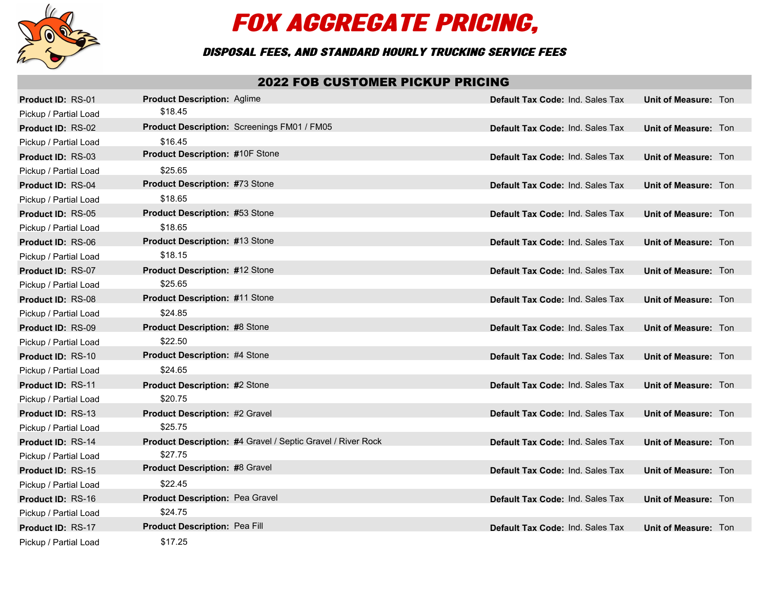

## FOX AGGREGATE PRICING,

## Disposal Fees, and Standard Hourly Trucking Service Fees

## 2022 FOB CUSTOMER PICKUP PRICING

| <b>Product ID: RS-01</b> | <b>Product Description: Aglime</b>                          | <b>Default Tax Code: Ind. Sales Tax</b> | Unit of Measure: Ton |
|--------------------------|-------------------------------------------------------------|-----------------------------------------|----------------------|
| Pickup / Partial Load    | \$18.45                                                     |                                         |                      |
| <b>Product ID: RS-02</b> | Product Description: Screenings FM01 / FM05                 | <b>Default Tax Code: Ind. Sales Tax</b> | Unit of Measure: Ton |
| Pickup / Partial Load    | \$16.45                                                     |                                         |                      |
| <b>Product ID: RS-03</b> | <b>Product Description: #10F Stone</b>                      | <b>Default Tax Code: Ind. Sales Tax</b> | Unit of Measure: Ton |
| Pickup / Partial Load    | \$25.65                                                     |                                         |                      |
| <b>Product ID: RS-04</b> | <b>Product Description: #73 Stone</b>                       | <b>Default Tax Code: Ind. Sales Tax</b> | Unit of Measure: Ton |
| Pickup / Partial Load    | \$18.65                                                     |                                         |                      |
| Product ID: RS-05        | <b>Product Description: #53 Stone</b>                       | <b>Default Tax Code: Ind. Sales Tax</b> | Unit of Measure: Ton |
| Pickup / Partial Load    | \$18.65                                                     |                                         |                      |
| Product ID: RS-06        | Product Description: #13 Stone                              | <b>Default Tax Code: Ind. Sales Tax</b> | Unit of Measure: Ton |
| Pickup / Partial Load    | \$18.15                                                     |                                         |                      |
| <b>Product ID: RS-07</b> | <b>Product Description: #12 Stone</b>                       | <b>Default Tax Code: Ind. Sales Tax</b> | Unit of Measure: Ton |
| Pickup / Partial Load    | \$25.65                                                     |                                         |                      |
| Product ID: RS-08        | <b>Product Description: #11 Stone</b>                       | Default Tax Code: Ind. Sales Tax        | Unit of Measure: Ton |
| Pickup / Partial Load    | \$24.85                                                     |                                         |                      |
| Product ID: RS-09        | <b>Product Description: #8 Stone</b>                        | <b>Default Tax Code: Ind. Sales Tax</b> | Unit of Measure: Ton |
| Pickup / Partial Load    | \$22.50                                                     |                                         |                      |
| Product ID: RS-10        | <b>Product Description: #4 Stone</b>                        | <b>Default Tax Code: Ind. Sales Tax</b> | Unit of Measure: Ton |
| Pickup / Partial Load    | \$24.65                                                     |                                         |                      |
| <b>Product ID: RS-11</b> | <b>Product Description: #2 Stone</b>                        | <b>Default Tax Code: Ind. Sales Tax</b> | Unit of Measure: Ton |
| Pickup / Partial Load    | \$20.75                                                     |                                         |                      |
| <b>Product ID: RS-13</b> | <b>Product Description: #2 Gravel</b>                       | <b>Default Tax Code: Ind. Sales Tax</b> | Unit of Measure: Ton |
| Pickup / Partial Load    | \$25.75                                                     |                                         |                      |
| Product ID: RS-14        | Product Description: #4 Gravel / Septic Gravel / River Rock | <b>Default Tax Code: Ind. Sales Tax</b> | Unit of Measure: Ton |
| Pickup / Partial Load    | \$27.75                                                     |                                         |                      |
| <b>Product ID: RS-15</b> | <b>Product Description: #8 Gravel</b>                       | <b>Default Tax Code: Ind. Sales Tax</b> | Unit of Measure: Ton |
| Pickup / Partial Load    | \$22.45                                                     |                                         |                      |
| Product ID: RS-16        | <b>Product Description: Pea Gravel</b>                      | <b>Default Tax Code: Ind. Sales Tax</b> | Unit of Measure: Ton |
| Pickup / Partial Load    | \$24.75                                                     |                                         |                      |
| Product ID: RS-17        | <b>Product Description: Pea Fill</b>                        | <b>Default Tax Code: Ind. Sales Tax</b> | Unit of Measure: Ton |
| Pickup / Partial Load    | \$17.25                                                     |                                         |                      |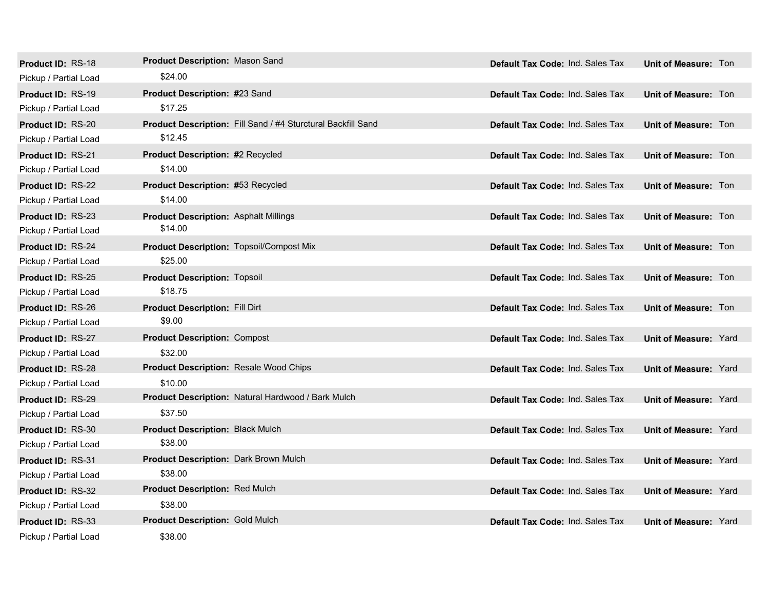| <b>Product ID: RS-18</b> | <b>Product Description: Mason Sand</b>          |                                                              | <b>Default Tax Code: Ind. Sales Tax</b> | <b>Unit of Measure: Ton</b>  |
|--------------------------|-------------------------------------------------|--------------------------------------------------------------|-----------------------------------------|------------------------------|
| Pickup / Partial Load    | \$24.00                                         |                                                              |                                         |                              |
| <b>Product ID: RS-19</b> | Product Description: #23 Sand                   |                                                              | <b>Default Tax Code: Ind. Sales Tax</b> | Unit of Measure: Ton         |
| Pickup / Partial Load    | \$17.25                                         |                                                              |                                         |                              |
| Product ID: RS-20        |                                                 | Product Description: Fill Sand / #4 Sturctural Backfill Sand | <b>Default Tax Code: Ind. Sales Tax</b> | <b>Unit of Measure: Ton</b>  |
| Pickup / Partial Load    | \$12.45                                         |                                                              |                                         |                              |
| <b>Product ID: RS-21</b> | <b>Product Description: #2 Recycled</b>         |                                                              | <b>Default Tax Code: Ind. Sales Tax</b> | <b>Unit of Measure: Ton</b>  |
| Pickup / Partial Load    | \$14.00                                         |                                                              |                                         |                              |
| <b>Product ID: RS-22</b> | Product Description: #53 Recycled               |                                                              | Default Tax Code: Ind. Sales Tax        | Unit of Measure: Ton         |
| Pickup / Partial Load    | \$14.00                                         |                                                              |                                         |                              |
| <b>Product ID: RS-23</b> | <b>Product Description: Asphalt Millings</b>    |                                                              | <b>Default Tax Code: Ind. Sales Tax</b> | <b>Unit of Measure: Ton</b>  |
| Pickup / Partial Load    | \$14.00                                         |                                                              |                                         |                              |
| <b>Product ID: RS-24</b> | <b>Product Description: Topsoil/Compost Mix</b> |                                                              | <b>Default Tax Code: Ind. Sales Tax</b> | <b>Unit of Measure: Ton</b>  |
| Pickup / Partial Load    | \$25.00                                         |                                                              |                                         |                              |
| <b>Product ID: RS-25</b> | <b>Product Description: Topsoil</b>             |                                                              | <b>Default Tax Code: Ind. Sales Tax</b> | Unit of Measure: Ton         |
| Pickup / Partial Load    | \$18.75                                         |                                                              |                                         |                              |
| <b>Product ID: RS-26</b> | <b>Product Description: Fill Dirt</b>           |                                                              | <b>Default Tax Code: Ind. Sales Tax</b> | <b>Unit of Measure: Ton</b>  |
| Pickup / Partial Load    | \$9.00                                          |                                                              |                                         |                              |
| <b>Product ID: RS-27</b> | <b>Product Description: Compost</b>             |                                                              | <b>Default Tax Code: Ind. Sales Tax</b> | <b>Unit of Measure: Yard</b> |
| Pickup / Partial Load    | \$32.00                                         |                                                              |                                         |                              |
| <b>Product ID: RS-28</b> | <b>Product Description: Resale Wood Chips</b>   |                                                              | Default Tax Code: Ind. Sales Tax        | <b>Unit of Measure: Yard</b> |
| Pickup / Partial Load    | \$10.00                                         |                                                              |                                         |                              |
| <b>Product ID: RS-29</b> |                                                 | Product Description: Natural Hardwood / Bark Mulch           | <b>Default Tax Code: Ind. Sales Tax</b> | <b>Unit of Measure: Yard</b> |
| Pickup / Partial Load    | \$37.50                                         |                                                              |                                         |                              |
| <b>Product ID: RS-30</b> | <b>Product Description: Black Mulch</b>         |                                                              | Default Tax Code: Ind. Sales Tax        | <b>Unit of Measure: Yard</b> |
| Pickup / Partial Load    | \$38.00                                         |                                                              |                                         |                              |
| Product ID: RS-31        | Product Description: Dark Brown Mulch           |                                                              | Default Tax Code: Ind. Sales Tax        | <b>Unit of Measure: Yard</b> |
| Pickup / Partial Load    | \$38.00                                         |                                                              |                                         |                              |
| <b>Product ID: RS-32</b> | <b>Product Description: Red Mulch</b>           |                                                              | <b>Default Tax Code: Ind. Sales Tax</b> | <b>Unit of Measure: Yard</b> |
| Pickup / Partial Load    | \$38.00                                         |                                                              |                                         |                              |
| <b>Product ID: RS-33</b> | <b>Product Description: Gold Mulch</b>          |                                                              | Default Tax Code: Ind. Sales Tax        | <b>Unit of Measure: Yard</b> |
| Pickup / Partial Load    | \$38.00                                         |                                                              |                                         |                              |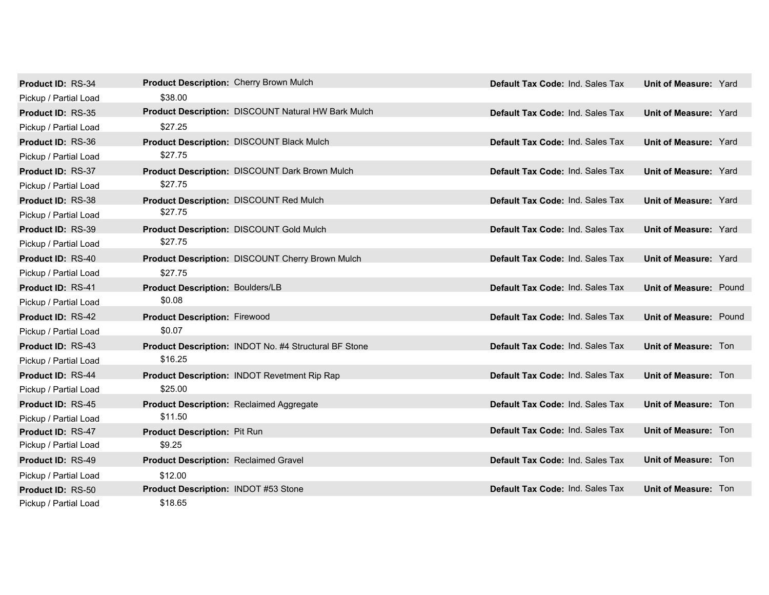| Product ID: RS-34        | Product Description: Cherry Brown Mulch      |                                                            | Default Tax Code: Ind. Sales Tax        | <b>Unit of Measure: Yard</b>  |  |
|--------------------------|----------------------------------------------|------------------------------------------------------------|-----------------------------------------|-------------------------------|--|
| Pickup / Partial Load    | \$38.00                                      |                                                            |                                         |                               |  |
| <b>Product ID: RS-35</b> |                                              | <b>Product Description: DISCOUNT Natural HW Bark Mulch</b> | <b>Default Tax Code: Ind. Sales Tax</b> | Unit of Measure: Yard         |  |
| Pickup / Partial Load    | \$27.25                                      |                                                            |                                         |                               |  |
| Product ID: RS-36        |                                              | <b>Product Description: DISCOUNT Black Mulch</b>           | Default Tax Code: Ind. Sales Tax        | <b>Unit of Measure: Yard</b>  |  |
| Pickup / Partial Load    | \$27.75                                      |                                                            |                                         |                               |  |
| Product ID: RS-37        |                                              | <b>Product Description: DISCOUNT Dark Brown Mulch</b>      | Default Tax Code: Ind. Sales Tax        | <b>Unit of Measure: Yard</b>  |  |
| Pickup / Partial Load    | \$27.75                                      |                                                            |                                         |                               |  |
| <b>Product ID: RS-38</b> |                                              | <b>Product Description: DISCOUNT Red Mulch</b>             | <b>Default Tax Code: Ind. Sales Tax</b> | <b>Unit of Measure: Yard</b>  |  |
| Pickup / Partial Load    | \$27.75                                      |                                                            |                                         |                               |  |
| Product ID: RS-39        |                                              | <b>Product Description: DISCOUNT Gold Mulch</b>            | Default Tax Code: Ind. Sales Tax        | <b>Unit of Measure: Yard</b>  |  |
| Pickup / Partial Load    | \$27.75                                      |                                                            |                                         |                               |  |
| Product ID: RS-40        |                                              | Product Description: DISCOUNT Cherry Brown Mulch           | Default Tax Code: Ind. Sales Tax        | <b>Unit of Measure: Yard</b>  |  |
| Pickup / Partial Load    | \$27.75                                      |                                                            |                                         |                               |  |
| Product ID: RS-41        | <b>Product Description: Boulders/LB</b>      |                                                            | Default Tax Code: Ind. Sales Tax        | <b>Unit of Measure: Pound</b> |  |
| Pickup / Partial Load    | \$0.08                                       |                                                            |                                         |                               |  |
| Product ID: RS-42        | <b>Product Description: Firewood</b>         |                                                            | Default Tax Code: Ind. Sales Tax        | <b>Unit of Measure: Pound</b> |  |
| Pickup / Partial Load    | \$0.07                                       |                                                            |                                         |                               |  |
| Product ID: RS-43        |                                              | Product Description: INDOT No. #4 Structural BF Stone      | Default Tax Code: Ind. Sales Tax        | Unit of Measure: Ton          |  |
| Pickup / Partial Load    | \$16.25                                      |                                                            |                                         |                               |  |
| Product ID: RS-44        |                                              | <b>Product Description: INDOT Revetment Rip Rap</b>        | Default Tax Code: Ind. Sales Tax        | Unit of Measure: Ton          |  |
| Pickup / Partial Load    | \$25.00                                      |                                                            |                                         |                               |  |
| Product ID: RS-45        |                                              | <b>Product Description: Reclaimed Aggregate</b>            | Default Tax Code: Ind. Sales Tax        | Unit of Measure: Ton          |  |
| Pickup / Partial Load    | \$11.50                                      |                                                            |                                         |                               |  |
| <b>Product ID: RS-47</b> | Product Description: Pit Run                 |                                                            | <b>Default Tax Code: Ind. Sales Tax</b> | Unit of Measure: Ton          |  |
| Pickup / Partial Load    | \$9.25                                       |                                                            |                                         |                               |  |
| <b>Product ID: RS-49</b> | <b>Product Description: Reclaimed Gravel</b> |                                                            | Default Tax Code: Ind. Sales Tax        | <b>Unit of Measure: Ton</b>   |  |
| Pickup / Partial Load    | \$12.00                                      |                                                            |                                         |                               |  |
| Product ID: RS-50        | Product Description: INDOT #53 Stone         |                                                            | <b>Default Tax Code: Ind. Sales Tax</b> | <b>Unit of Measure: Ton</b>   |  |
| Pickup / Partial Load    | \$18.65                                      |                                                            |                                         |                               |  |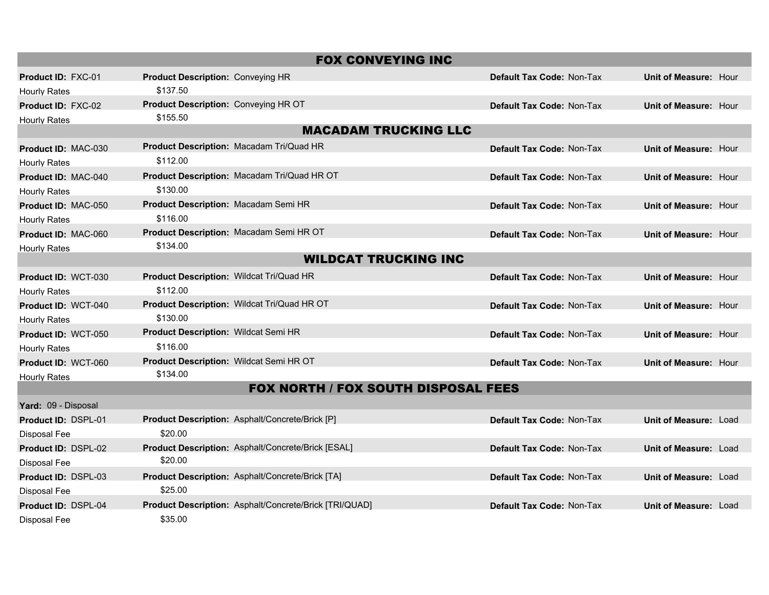| <b>FOX CONVEYING INC</b>                   |                                                         |                                  |                              |  |
|--------------------------------------------|---------------------------------------------------------|----------------------------------|------------------------------|--|
| <b>Product ID: FXC-01</b>                  | <b>Product Description: Conveying HR</b>                | <b>Default Tax Code: Non-Tax</b> | Unit of Measure: Hour        |  |
| <b>Hourly Rates</b>                        | \$137.50                                                |                                  |                              |  |
| <b>Product ID: FXC-02</b>                  | Product Description: Conveying HR OT                    | <b>Default Tax Code: Non-Tax</b> | <b>Unit of Measure: Hour</b> |  |
| <b>Hourly Rates</b>                        | \$155.50                                                |                                  |                              |  |
|                                            | <b>MACADAM TRUCKING LLC</b>                             |                                  |                              |  |
| <b>Product ID: MAC-030</b>                 | Product Description: Macadam Tri/Quad HR                | <b>Default Tax Code: Non-Tax</b> | Unit of Measure: Hour        |  |
| <b>Hourly Rates</b>                        | \$112.00                                                |                                  |                              |  |
| Product ID: MAC-040                        | Product Description: Macadam Tri/Quad HR OT             | <b>Default Tax Code: Non-Tax</b> | Unit of Measure: Hour        |  |
| <b>Hourly Rates</b>                        | \$130.00                                                |                                  |                              |  |
| Product ID: MAC-050                        | Product Description: Macadam Semi HR                    | Default Tax Code: Non-Tax        | Unit of Measure: Hour        |  |
| <b>Hourly Rates</b>                        | \$116.00                                                |                                  |                              |  |
| <b>Product ID: MAC-060</b>                 | Product Description: Macadam Semi HR OT                 | <b>Default Tax Code: Non-Tax</b> | Unit of Measure: Hour        |  |
| <b>Hourly Rates</b>                        | \$134.00                                                |                                  |                              |  |
|                                            | <b>WILDCAT TRUCKING INC</b>                             |                                  |                              |  |
| Product ID: WCT-030                        | Product Description: Wildcat Tri/Quad HR                | Default Tax Code: Non-Tax        | Unit of Measure: Hour        |  |
| Hourly Rates                               | \$112.00                                                |                                  |                              |  |
| <b>Product ID: WCT-040</b>                 | Product Description: Wildcat Tri/Quad HR OT             | <b>Default Tax Code: Non-Tax</b> | Unit of Measure: Hour        |  |
| <b>Hourly Rates</b>                        | \$130.00                                                |                                  |                              |  |
| Product ID: WCT-050                        | <b>Product Description: Wildcat Semi HR</b>             | Default Tax Code: Non-Tax        | Unit of Measure: Hour        |  |
| <b>Hourly Rates</b>                        | \$116.00                                                |                                  |                              |  |
| Product ID: WCT-060                        | Product Description: Wildcat Semi HR OT                 | <b>Default Tax Code: Non-Tax</b> | Unit of Measure: Hour        |  |
| <b>Hourly Rates</b>                        | \$134.00                                                |                                  |                              |  |
| <b>FOX NORTH / FOX SOUTH DISPOSAL FEES</b> |                                                         |                                  |                              |  |
| Yard: 09 - Disposal                        |                                                         |                                  |                              |  |
| Product ID: DSPL-01                        | <b>Product Description: Asphalt/Concrete/Brick [P]</b>  | Default Tax Code: Non-Tax        | Unit of Measure: Load        |  |
| Disposal Fee                               | \$20.00                                                 |                                  |                              |  |
| Product ID: DSPL-02                        | Product Description: Asphalt/Concrete/Brick [ESAL]      | Default Tax Code: Non-Tax        | Unit of Measure: Load        |  |
| Disposal Fee                               | \$20.00                                                 |                                  |                              |  |
| Product ID: DSPL-03                        | <b>Product Description: Asphalt/Concrete/Brick [TA]</b> | <b>Default Tax Code: Non-Tax</b> | Unit of Measure: Load        |  |
| <b>Disposal Fee</b>                        | \$25.00                                                 |                                  |                              |  |
| Product ID: DSPL-04                        | Product Description: Asphalt/Concrete/Brick [TRI/QUAD]  | Default Tax Code: Non-Tax        | Unit of Measure: Load        |  |
| Disposal Fee                               | \$35.00                                                 |                                  |                              |  |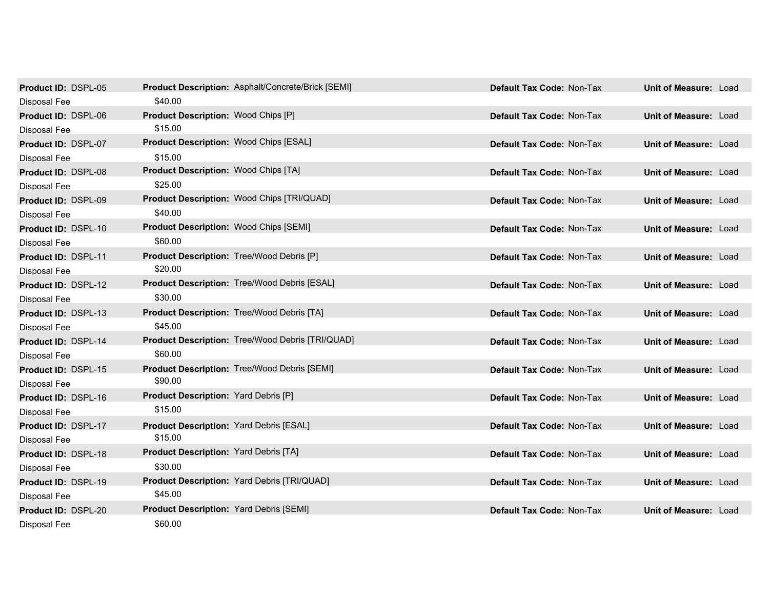| Product ID: DSPL-05        |                                                  | <b>Product Description: Asphalt/Concrete/Brick [SEMI]</b> | Default Tax Code: Non-Tax        | Unit of Measure: Load        |  |
|----------------------------|--------------------------------------------------|-----------------------------------------------------------|----------------------------------|------------------------------|--|
| Disposal Fee               | \$40.00                                          |                                                           |                                  |                              |  |
| Product ID: DSPL-06        | <b>Product Description: Wood Chips [P]</b>       |                                                           | <b>Default Tax Code: Non-Tax</b> | <b>Unit of Measure: Load</b> |  |
| Disposal Fee               | \$15.00                                          |                                                           |                                  |                              |  |
| Product ID: DSPL-07        | Product Description: Wood Chips [ESAL]           |                                                           | Default Tax Code: Non-Tax        | <b>Unit of Measure: Load</b> |  |
| Disposal Fee               | \$15.00                                          |                                                           |                                  |                              |  |
| Product ID: DSPL-08        | <b>Product Description: Wood Chips [TA]</b>      |                                                           | Default Tax Code: Non-Tax        | <b>Unit of Measure: Load</b> |  |
| Disposal Fee               | \$25.00                                          |                                                           |                                  |                              |  |
| <b>Product ID: DSPL-09</b> |                                                  | Product Description: Wood Chips [TRI/QUAD]                | <b>Default Tax Code: Non-Tax</b> | Unit of Measure: Load        |  |
| Disposal Fee               | \$40.00                                          |                                                           |                                  |                              |  |
| Product ID: DSPL-10        | <b>Product Description: Wood Chips [SEMI]</b>    |                                                           | <b>Default Tax Code: Non-Tax</b> | Unit of Measure: Load        |  |
| Disposal Fee               | \$60.00                                          |                                                           |                                  |                              |  |
| Product ID: DSPL-11        | <b>Product Description: Tree/Wood Debris [P]</b> |                                                           | Default Tax Code: Non-Tax        | <b>Unit of Measure: Load</b> |  |
| <b>Disposal Fee</b>        | \$20.00                                          |                                                           |                                  |                              |  |
| Product ID: DSPL-12        |                                                  | Product Description: Tree/Wood Debris [ESAL]              | Default Tax Code: Non-Tax        | Unit of Measure: Load        |  |
| Disposal Fee               | \$30.00                                          |                                                           |                                  |                              |  |
| Product ID: DSPL-13        |                                                  | <b>Product Description: Tree/Wood Debris [TA]</b>         | Default Tax Code: Non-Tax        | Unit of Measure: Load        |  |
| Disposal Fee               | \$45.00                                          |                                                           |                                  |                              |  |
| Product ID: DSPL-14        |                                                  | Product Description: Tree/Wood Debris [TRI/QUAD]          | Default Tax Code: Non-Tax        | Unit of Measure: Load        |  |
| Disposal Fee               | \$60.00                                          |                                                           |                                  |                              |  |
| <b>Product ID: DSPL-15</b> |                                                  | <b>Product Description: Tree/Wood Debris [SEMI]</b>       | Default Tax Code: Non-Tax        | Unit of Measure: Load        |  |
| Disposal Fee               | \$90.00                                          |                                                           |                                  |                              |  |
| Product ID: DSPL-16        | <b>Product Description: Yard Debris [P]</b>      |                                                           | Default Tax Code: Non-Tax        | Unit of Measure: Load        |  |
| Disposal Fee               | \$15.00                                          |                                                           |                                  |                              |  |
| Product ID: DSPL-17        | <b>Product Description: Yard Debris [ESAL]</b>   |                                                           | Default Tax Code: Non-Tax        | <b>Unit of Measure: Load</b> |  |
| <b>Disposal Fee</b>        | \$15.00                                          |                                                           |                                  |                              |  |
| Product ID: DSPL-18        | <b>Product Description: Yard Debris [TA]</b>     |                                                           | Default Tax Code: Non-Tax        | Unit of Measure: Load        |  |
| Disposal Fee               | \$30.00                                          |                                                           |                                  |                              |  |
| Product ID: DSPL-19        |                                                  | Product Description: Yard Debris [TRI/QUAD]               | <b>Default Tax Code: Non-Tax</b> | <b>Unit of Measure: Load</b> |  |
| Disposal Fee               | \$45.00                                          |                                                           |                                  |                              |  |
| Product ID: DSPL-20        | <b>Product Description: Yard Debris [SEMI]</b>   |                                                           | Default Tax Code: Non-Tax        | Unit of Measure: Load        |  |
| Disposal Fee               | \$60.00                                          |                                                           |                                  |                              |  |